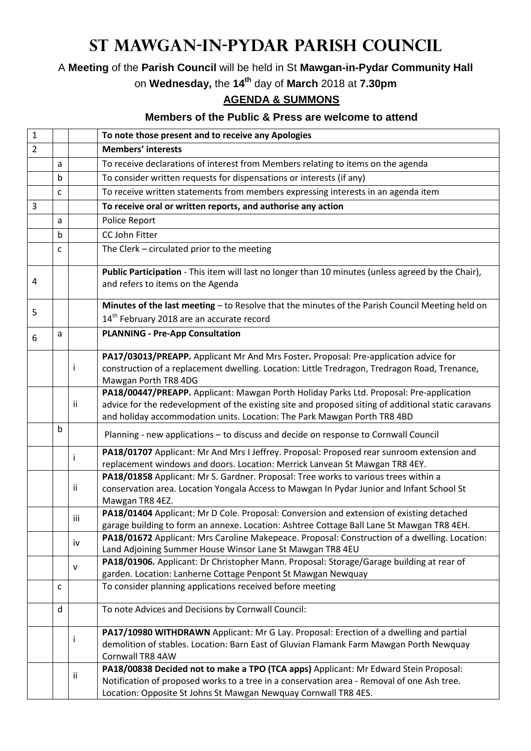## **St Mawgan-in-Pydar Parish Council**

A **Meeting** of the **Parish Council** will be held in St **Mawgan-in-Pydar Community Hall**

on **Wednesday,** the **14th** day of **March** 2018 at **7.30pm**

## **AGENDA & SUMMONS**

## **Members of the Public & Press are welcome to attend**

| $\mathbf{1}$   |   |     | To note those present and to receive any Apologies                                                                                                                                                                                                                         |
|----------------|---|-----|----------------------------------------------------------------------------------------------------------------------------------------------------------------------------------------------------------------------------------------------------------------------------|
| $\overline{2}$ |   |     | <b>Members' interests</b>                                                                                                                                                                                                                                                  |
|                | a |     | To receive declarations of interest from Members relating to items on the agenda                                                                                                                                                                                           |
|                | b |     | To consider written requests for dispensations or interests (if any)                                                                                                                                                                                                       |
|                | C |     | To receive written statements from members expressing interests in an agenda item                                                                                                                                                                                          |
| 3              |   |     | To receive oral or written reports, and authorise any action                                                                                                                                                                                                               |
|                | a |     | Police Report                                                                                                                                                                                                                                                              |
|                | b |     | CC John Fitter                                                                                                                                                                                                                                                             |
|                | C |     | The Clerk - circulated prior to the meeting                                                                                                                                                                                                                                |
| 4              |   |     | Public Participation - This item will last no longer than 10 minutes (unless agreed by the Chair),<br>and refers to items on the Agenda                                                                                                                                    |
| 5              |   |     | Minutes of the last meeting - to Resolve that the minutes of the Parish Council Meeting held on                                                                                                                                                                            |
|                |   |     | 14 <sup>th</sup> February 2018 are an accurate record                                                                                                                                                                                                                      |
| 6              | a |     | <b>PLANNING - Pre-App Consultation</b>                                                                                                                                                                                                                                     |
|                |   | i   | PA17/03013/PREAPP. Applicant Mr And Mrs Foster. Proposal: Pre-application advice for<br>construction of a replacement dwelling. Location: Little Tredragon, Tredragon Road, Trenance,<br>Mawgan Porth TR8 4DG                                                              |
|                |   | ii  | PA18/00447/PREAPP. Applicant: Mawgan Porth Holiday Parks Ltd. Proposal: Pre-application<br>advice for the redevelopment of the existing site and proposed siting of additional static caravans<br>and holiday accommodation units. Location: The Park Mawgan Porth TR8 4BD |
|                | b |     | Planning - new applications - to discuss and decide on response to Cornwall Council                                                                                                                                                                                        |
|                |   |     | PA18/01707 Applicant: Mr And Mrs I Jeffrey. Proposal: Proposed rear sunroom extension and<br>replacement windows and doors. Location: Merrick Lanvean St Mawgan TR8 4EY.                                                                                                   |
|                |   | ii  | PA18/01858 Applicant: Mr S. Gardner. Proposal: Tree works to various trees within a<br>conservation area. Location Yongala Access to Mawgan In Pydar Junior and Infant School St<br>Mawgan TR8 4EZ.                                                                        |
|                |   | iii | PA18/01404 Applicant: Mr D Cole. Proposal: Conversion and extension of existing detached<br>garage building to form an annexe. Location: Ashtree Cottage Ball Lane St Mawgan TR8 4EH.                                                                                      |
|                |   | iv  | PA18/01672 Applicant: Mrs Caroline Makepeace. Proposal: Construction of a dwelling. Location:<br>Land Adjoining Summer House Winsor Lane St Mawgan TR8 4EU                                                                                                                 |
|                |   | v   | PA18/01906. Applicant: Dr Christopher Mann. Proposal: Storage/Garage building at rear of<br>garden. Location: Lanherne Cottage Penpont St Mawgan Newquay                                                                                                                   |
|                | c |     | To consider planning applications received before meeting                                                                                                                                                                                                                  |
|                | d |     | To note Advices and Decisions by Cornwall Council:                                                                                                                                                                                                                         |
|                |   |     | PA17/10980 WITHDRAWN Applicant: Mr G Lay. Proposal: Erection of a dwelling and partial<br>demolition of stables. Location: Barn East of Gluvian Flamank Farm Mawgan Porth Newquay<br>Cornwall TR8 4AW                                                                      |
|                |   | ii  | PA18/00838 Decided not to make a TPO (TCA apps) Applicant: Mr Edward Stein Proposal:<br>Notification of proposed works to a tree in a conservation area - Removal of one Ash tree.<br>Location: Opposite St Johns St Mawgan Newquay Cornwall TR8 4ES.                      |